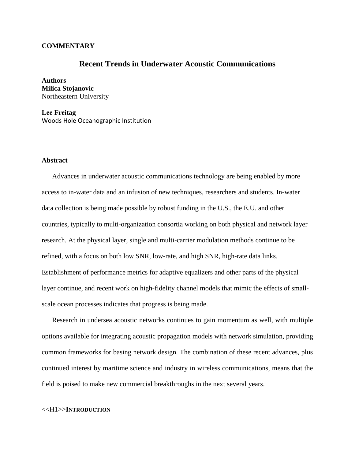## **COMMENTARY**

# **Recent Trends in Underwater Acoustic Communications**

**Authors Milica Stojanovic** Northeastern University

**Lee Freitag** Woods Hole Oceanographic Institution

## **Abstract**

Advances in underwater acoustic communications technology are being enabled by more access to in-water data and an infusion of new techniques, researchers and students. In-water data collection is being made possible by robust funding in the U.S., the E.U. and other countries, typically to multi-organization consortia working on both physical and network layer research. At the physical layer, single and multi-carrier modulation methods continue to be refined, with a focus on both low SNR, low-rate, and high SNR, high-rate data links. Establishment of performance metrics for adaptive equalizers and other parts of the physical layer continue, and recent work on high-fidelity channel models that mimic the effects of smallscale ocean processes indicates that progress is being made.

Research in undersea acoustic networks continues to gain momentum as well, with multiple options available for integrating acoustic propagation models with network simulation, providing common frameworks for basing network design. The combination of these recent advances, plus continued interest by maritime science and industry in wireless communications, means that the field is poised to make new commercial breakthroughs in the next several years.

#### <<H1>>**INTRODUCTION**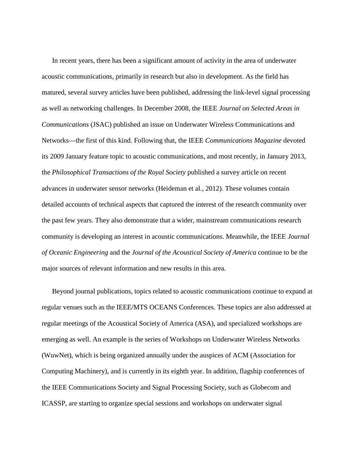In recent years, there has been a significant amount of activity in the area of underwater acoustic communications, primarily in research but also in development. As the field has matured, several survey articles have been published, addressing the link-level signal processing as well as networking challenges. In December 2008, the IEEE *Journal on Selected Areas in Communications* (JSAC) published an issue on Underwater Wireless Communications and Networks—the first of this kind. Following that, the IEEE *Communications Magazine* devoted its 2009 January feature topic to acoustic communications, and most recently, in January 2013, the *Philosophical Transactions of the Royal Society* published a survey article on recent advances in underwater sensor networks (Heideman et al., 2012). These volumes contain detailed accounts of technical aspects that captured the interest of the research community over the past few years. They also demonstrate that a wider, mainstream communications research community is developing an interest in acoustic communications. Meanwhile, the IEEE *Journal of Oceanic Engineering* and the *Journal of the Acoustical Society of America* continue to be the major sources of relevant information and new results in this area.

Beyond journal publications, topics related to acoustic communications continue to expand at regular venues such as the IEEE/MTS OCEANS Conferences. These topics are also addressed at regular meetings of the Acoustical Society of America (ASA), and specialized workshops are emerging as well. An example is the series of Workshops on Underwater Wireless Networks (WuwNet), which is being organized annually under the auspices of ACM (Association for Computing Machinery), and is currently in its eighth year. In addition, flagship conferences of the IEEE Communications Society and Signal Processing Society, such as Globecom and ICASSP, are starting to organize special sessions and workshops on underwater signal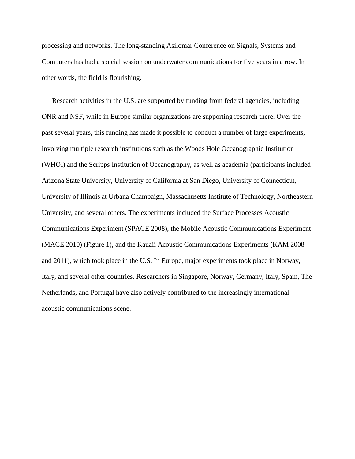processing and networks. The long-standing Asilomar Conference on Signals, Systems and Computers has had a special session on underwater communications for five years in a row. In other words, the field is flourishing.

Research activities in the U.S. are supported by funding from federal agencies, including ONR and NSF, while in Europe similar organizations are supporting research there. Over the past several years, this funding has made it possible to conduct a number of large experiments, involving multiple research institutions such as the Woods Hole Oceanographic Institution (WHOI) and the Scripps Institution of Oceanography, as well as academia (participants included Arizona State University, University of California at San Diego, University of Connecticut, University of Illinois at Urbana Champaign, Massachusetts Institute of Technology, Northeastern University, and several others. The experiments included the Surface Processes Acoustic Communications Experiment (SPACE 2008), the Mobile Acoustic Communications Experiment (MACE 2010) [\(Figure 1\)](#page-3-0), and the Kauaii Acoustic Communications Experiments (KAM 2008 and 2011), which took place in the U.S. In Europe, major experiments took place in Norway, Italy, and several other countries. Researchers in Singapore, Norway, Germany, Italy, Spain, The Netherlands, and Portugal have also actively contributed to the increasingly international acoustic communications scene.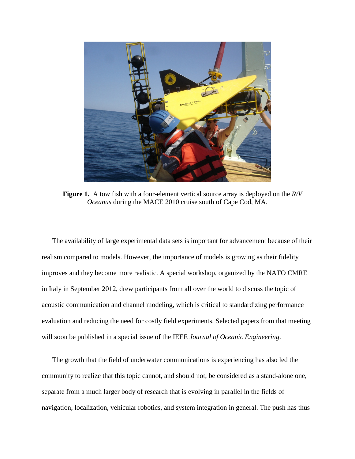

**Figure 1.** A tow fish with a four-element vertical source array is deployed on the *R/V Oceanus* during the MACE 2010 cruise south of Cape Cod, MA.

<span id="page-3-0"></span>The availability of large experimental data sets is important for advancement because of their realism compared to models. However, the importance of models is growing as their fidelity improves and they become more realistic. A special workshop, organized by the NATO CMRE in Italy in September 2012, drew participants from all over the world to discuss the topic of acoustic communication and channel modeling, which is critical to standardizing performance evaluation and reducing the need for costly field experiments. Selected papers from that meeting will soon be published in a special issue of the IEEE *Journal of Oceanic Engineering*.

The growth that the field of underwater communications is experiencing has also led the community to realize that this topic cannot, and should not, be considered as a stand-alone one, separate from a much larger body of research that is evolving in parallel in the fields of navigation, localization, vehicular robotics, and system integration in general. The push has thus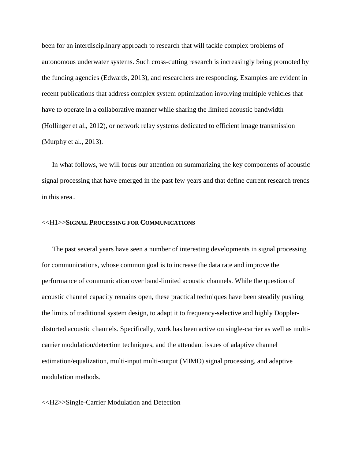been for an interdisciplinary approach to research that will tackle complex problems of autonomous underwater systems. Such cross-cutting research is increasingly being promoted by the funding agencies (Edwards, 2013), and researchers are responding. Examples are evident in recent publications that address complex system optimization involving multiple vehicles that have to operate in a collaborative manner while sharing the limited acoustic bandwidth (Hollinger et al., 2012), or network relay systems dedicated to efficient image transmission (Murphy et al., 2013).

In what follows, we will focus our attention on summarizing the key components of acoustic signal processing that have emerged in the past few years and that define current research trends in this area.

#### <<H1>>**SIGNAL PROCESSING FOR COMMUNICATIONS**

The past several years have seen a number of interesting developments in signal processing for communications, whose common goal is to increase the data rate and improve the performance of communication over band-limited acoustic channels. While the question of acoustic channel capacity remains open, these practical techniques have been steadily pushing the limits of traditional system design, to adapt it to frequency-selective and highly Dopplerdistorted acoustic channels. Specifically, work has been active on single-carrier as well as multicarrier modulation/detection techniques, and the attendant issues of adaptive channel estimation/equalization, multi-input multi-output (MIMO) signal processing, and adaptive modulation methods.

<<H2>>Single-Carrier Modulation and Detection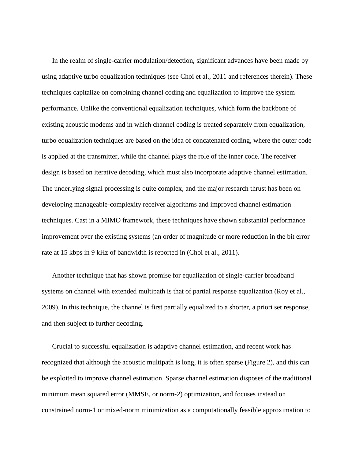In the realm of single-carrier modulation/detection, significant advances have been made by using adaptive turbo equalization techniques (see Choi et al., 2011 and references therein). These techniques capitalize on combining channel coding and equalization to improve the system performance. Unlike the conventional equalization techniques, which form the backbone of existing acoustic modems and in which channel coding is treated separately from equalization, turbo equalization techniques are based on the idea of concatenated coding, where the outer code is applied at the transmitter, while the channel plays the role of the inner code. The receiver design is based on iterative decoding, which must also incorporate adaptive channel estimation. The underlying signal processing is quite complex, and the major research thrust has been on developing manageable-complexity receiver algorithms and improved channel estimation techniques. Cast in a MIMO framework, these techniques have shown substantial performance improvement over the existing systems (an order of magnitude or more reduction in the bit error rate at 15 kbps in 9 kHz of bandwidth is reported in (Choi et al., 2011).

Another technique that has shown promise for equalization of single-carrier broadband systems on channel with extended multipath is that of partial response equalization (Roy et al., 2009). In this technique, the channel is first partially equalized to a shorter, a priori set response, and then subject to further decoding.

Crucial to successful equalization is adaptive channel estimation, and recent work has recognized that although the acoustic multipath is long, it is often sparse [\(Figure 2\)](#page-6-0), and this can be exploited to improve channel estimation. Sparse channel estimation disposes of the traditional minimum mean squared error (MMSE, or norm-2) optimization, and focuses instead on constrained norm-1 or mixed-norm minimization as a computationally feasible approximation to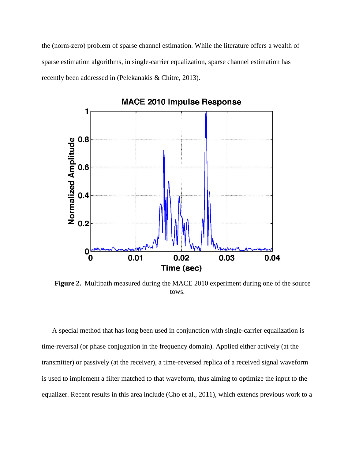the (norm-zero) problem of sparse channel estimation. While the literature offers a wealth of sparse estimation algorithms, in single-carrier equalization, sparse channel estimation has recently been addressed in (Pelekanakis & Chitre, 2013).



<span id="page-6-0"></span>**Figure 2.** Multipath measured during the MACE 2010 experiment during one of the source tows.

A special method that has long been used in conjunction with single-carrier equalization is time-reversal (or phase conjugation in the frequency domain). Applied either actively (at the transmitter) or passively (at the receiver), a time-reversed replica of a received signal waveform is used to implement a filter matched to that waveform, thus aiming to optimize the input to the equalizer. Recent results in this area include (Cho et al., 2011), which extends previous work to a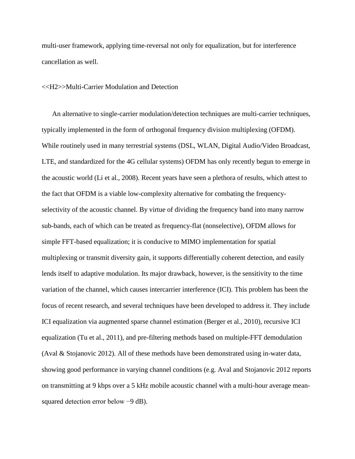multi-user framework, applying time-reversal not only for equalization, but for interference cancellation as well.

## <<H2>>Multi-Carrier Modulation and Detection

An alternative to single-carrier modulation/detection techniques are multi-carrier techniques, typically implemented in the form of orthogonal frequency division multiplexing (OFDM). While routinely used in many terrestrial systems (DSL, WLAN, Digital Audio/Video Broadcast, LTE, and standardized for the 4G cellular systems) OFDM has only recently begun to emerge in the acoustic world (Li et al., 2008). Recent years have seen a plethora of results, which attest to the fact that OFDM is a viable low-complexity alternative for combating the frequencyselectivity of the acoustic channel. By virtue of dividing the frequency band into many narrow sub-bands, each of which can be treated as frequency-flat (nonselective), OFDM allows for simple FFT-based equalization; it is conducive to MIMO implementation for spatial multiplexing or transmit diversity gain, it supports differentially coherent detection, and easily lends itself to adaptive modulation. Its major drawback, however, is the sensitivity to the time variation of the channel, which causes intercarrier interference (ICI). This problem has been the focus of recent research, and several techniques have been developed to address it. They include ICI equalization via augmented sparse channel estimation (Berger et al., 2010), recursive ICI equalization (Tu et al., 2011), and pre-filtering methods based on multiple-FFT demodulation (Aval & Stojanovic 2012). All of these methods have been demonstrated using in-water data, showing good performance in varying channel conditions (e.g. Aval and Stojanovic 2012 reports on transmitting at 9 kbps over a 5 kHz mobile acoustic channel with a multi-hour average meansquared detection error below −9 dB).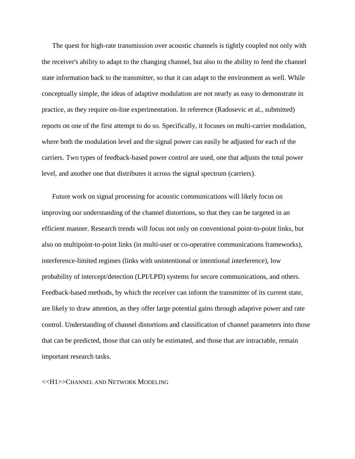The quest for high-rate transmission over acoustic channels is tightly coupled not only with the receiver's ability to adapt to the changing channel, but also to the ability to feed the channel state information back to the transmitter, so that it can adapt to the environment as well. While conceptually simple, the ideas of adaptive modulation are not nearly as easy to demonstrate in practice, as they require on-line experimentation. In reference (Radosevic et al., submitted) reports on one of the first attempt to do so. Specifically, it focuses on multi-carrier modulation, where both the modulation level and the signal power can easily be adjusted for each of the carriers. Two types of feedback-based power control are used, one that adjusts the total power level, and another one that distributes it across the signal spectrum (carriers).

Future work on signal processing for acoustic communications will likely focus on improving our understanding of the channel distortions, so that they can be targeted in an efficient manner. Research trends will focus not only on conventional point-to-point links, but also on multipoint-to-point links (in multi-user or co-operative communications frameworks), interference-limited regimes (links with unintentional or intentional interference), low probability of intercept/detection (LPI/LPD) systems for secure communications, and others. Feedback-based methods, by which the receiver can inform the transmitter of its current state, are likely to draw attention, as they offer large potential gains through adaptive power and rate control. Understanding of channel distortions and classification of channel parameters into those that can be predicted, those that can only be estimated, and those that are intractable, remain important research tasks.

<<H1>>CHANNEL AND NETWORK MODELING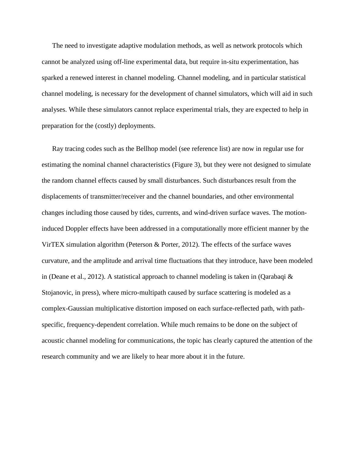The need to investigate adaptive modulation methods, as well as network protocols which cannot be analyzed using off-line experimental data, but require in-situ experimentation, has sparked a renewed interest in channel modeling. Channel modeling, and in particular statistical channel modeling, is necessary for the development of channel simulators, which will aid in such analyses. While these simulators cannot replace experimental trials, they are expected to help in preparation for the (costly) deployments.

Ray tracing codes such as the Bellhop model (see reference list) are now in regular use for estimating the nominal channel characteristics [\(Figure 3\)](#page-10-0), but they were not designed to simulate the random channel effects caused by small disturbances. Such disturbances result from the displacements of transmitter/receiver and the channel boundaries, and other environmental changes including those caused by tides, currents, and wind-driven surface waves. The motioninduced Doppler effects have been addressed in a computationally more efficient manner by the VirTEX simulation algorithm (Peterson & Porter, 2012). The effects of the surface waves curvature, and the amplitude and arrival time fluctuations that they introduce, have been modeled in (Deane et al., 2012). A statistical approach to channel modeling is taken in (Qarabaqi  $\&$ Stojanovic, in press), where micro-multipath caused by surface scattering is modeled as a complex-Gaussian multiplicative distortion imposed on each surface-reflected path, with pathspecific, frequency-dependent correlation. While much remains to be done on the subject of acoustic channel modeling for communications, the topic has clearly captured the attention of the research community and we are likely to hear more about it in the future.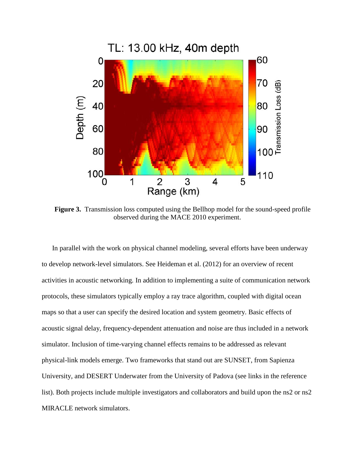

<span id="page-10-0"></span>**Figure 3.** Transmission loss computed using the Bellhop model for the sound-speed profile observed during the MACE 2010 experiment.

In parallel with the work on physical channel modeling, several efforts have been underway to develop network-level simulators. See Heideman et al. (2012) for an overview of recent activities in acoustic networking. In addition to implementing a suite of communication network protocols, these simulators typically employ a ray trace algorithm, coupled with digital ocean maps so that a user can specify the desired location and system geometry. Basic effects of acoustic signal delay, frequency-dependent attenuation and noise are thus included in a network simulator. Inclusion of time-varying channel effects remains to be addressed as relevant physical-link models emerge. Two frameworks that stand out are SUNSET, from Sapienza University, and DESERT Underwater from the University of Padova (see links in the reference list). Both projects include multiple investigators and collaborators and build upon the ns2 or ns2 MIRACLE network simulators.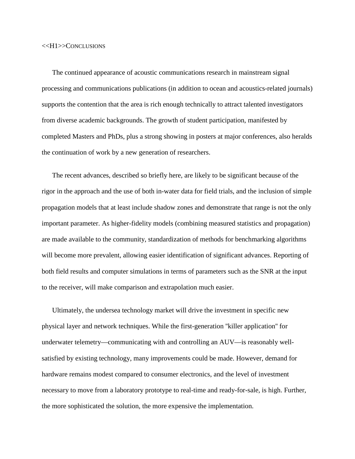The continued appearance of acoustic communications research in mainstream signal processing and communications publications (in addition to ocean and acoustics-related journals) supports the contention that the area is rich enough technically to attract talented investigators from diverse academic backgrounds. The growth of student participation, manifested by completed Masters and PhDs, plus a strong showing in posters at major conferences, also heralds the continuation of work by a new generation of researchers.

The recent advances, described so briefly here, are likely to be significant because of the rigor in the approach and the use of both in-water data for field trials, and the inclusion of simple propagation models that at least include shadow zones and demonstrate that range is not the only important parameter. As higher-fidelity models (combining measured statistics and propagation) are made available to the community, standardization of methods for benchmarking algorithms will become more prevalent, allowing easier identification of significant advances. Reporting of both field results and computer simulations in terms of parameters such as the SNR at the input to the receiver, will make comparison and extrapolation much easier.

Ultimately, the undersea technology market will drive the investment in specific new physical layer and network techniques. While the first-generation ''killer application'' for underwater telemetry—communicating with and controlling an AUV—is reasonably wellsatisfied by existing technology, many improvements could be made. However, demand for hardware remains modest compared to consumer electronics, and the level of investment necessary to move from a laboratory prototype to real-time and ready-for-sale, is high. Further, the more sophisticated the solution, the more expensive the implementation.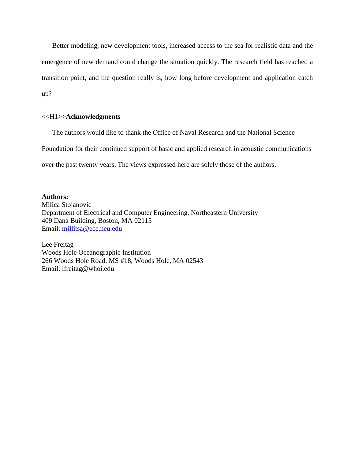Better modeling, new development tools, increased access to the sea for realistic data and the emergence of new demand could change the situation quickly. The research field has reached a transition point, and the question really is, how long before development and application catch up?

## <<H1>>**Acknowledgments**

The authors would like to thank the Office of Naval Research and the National Science

Foundation for their continued support of basic and applied research in acoustic communications

over the past twenty years. The views expressed here are solely those of the authors.

## **Authors:**

Milica Stojanovic Department of Electrical and Computer Engineering, Northeastern University 409 Dana Building, Boston, MA 02115 Email: [millitsa@ece.neu.edu](mailto:millitsa@ece.neu.edu)

Lee Freitag Woods Hole Oceanographic Institution 266 Woods Hole Road, MS #18, Woods Hole, MA 02543 Email: lfreitag@whoi.edu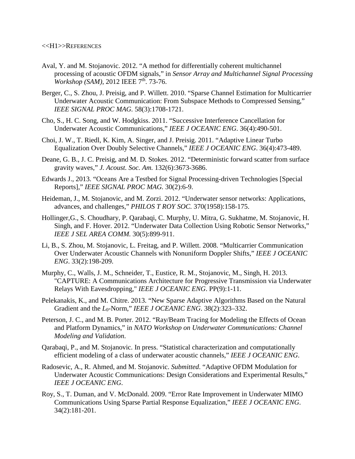- Aval, Y. and M. Stojanovic. 2012. "A method for differentially coherent multichannel processing of acoustic OFDM signals," in *Sensor Array and Multichannel Signal Processing Workshop (SAM)*, 2012 IEEE 7<sup>th</sup>. 73-76.
- Berger, C., S. Zhou, J. Preisig, and P. Willett. 2010. "Sparse Channel Estimation for Multicarrier Underwater Acoustic Communication: From Subspace Methods to Compressed Sensing," *IEEE SIGNAL PROC MAG.* 58(3):1708-1721.
- Cho, S., H. C. Song, and W. Hodgkiss. 2011. "Successive Interference Cancellation for Underwater Acoustic Communications," *IEEE J OCEANIC ENG*. 36(4):490-501.
- Choi, J. W., T. Riedl, K. Kim, A. Singer, and J. Preisig. 2011. "Adaptive Linear Turbo Equalization Over Doubly Selective Channels," *IEEE J OCEANIC ENG*. 36(4):473-489.
- Deane, G. B., J. C. Preisig, and M. D. Stokes. 2012. "Deterministic forward scatter from surface gravity waves," *J. Acoust. Soc. Am.* 132(6):3673-3686.
- Edwards J., 2013. "Oceans Are a Testbed for Signal Processing-driven Technologies [Special Reports]," *IEEE SIGNAL PROC MAG.* 30(2):6-9.
- Heideman, J., M. Stojanovic, and M. Zorzi. 2012. "Underwater sensor networks: Applications, advances, and challenges," *PHILOS T ROY SOC.* 370(1958):158-175.
- Hollinger,G., S. Choudhary, P. Qarabaqi, C. Murphy, U. Mitra, G. Sukhatme, M. Stojanovic, H. Singh, and F. Hover. 2012. "Underwater Data Collection Using Robotic Sensor Networks," *IEEE J SEL AREA COMM.* 30(5):899-911.
- Li, B., S. Zhou, M. Stojanovic, L. Freitag, and P. Willett. 2008. "Multicarrier Communication Over Underwater Acoustic Channels with Nonuniform Doppler Shifts," *IEEE J OCEANIC ENG*. 33(2):198-209.
- Murphy, C., Walls, J. M., Schneider, T., Eustice, R. M., Stojanovic, M., Singh, H. 2013. "CAPTURE: A Communications Architecture for Progressive Transmission via Underwater Relays With Eavesdropping," *IEEE J OCEANIC ENG*. PP(9):1-11.
- Pelekanakis, K., and M. Chitre. 2013. "New Sparse Adaptive Algorithms Based on the Natural Gradient and the *L*0-Norm," *IEEE J OCEANIC ENG*. 38(2):323–332.
- Peterson, J. C., and M. B. Porter. 2012. "Ray/Beam Tracing for Modeling the Effects of Ocean and Platform Dynamics," in *NATO Workshop on Underwater Communications: Channel Modeling and Validation*.
- Qarabaqi, P., and M. Stojanovic. In press. "Statistical characterization and computationally efficient modeling of a class of underwater acoustic channels," *IEEE J OCEANIC ENG*.
- Radosevic, A., R. Ahmed, and M. Stojanovic. *Submitted*. "Adaptive OFDM Modulation for Underwater Acoustic Communications: Design Considerations and Experimental Results," *IEEE J OCEANIC ENG*.
- Roy, S., T. Duman, and V. McDonald. 2009. "Error Rate Improvement in Underwater MIMO Communications Using Sparse Partial Response Equalization," *IEEE J OCEANIC ENG*. 34(2):181-201.